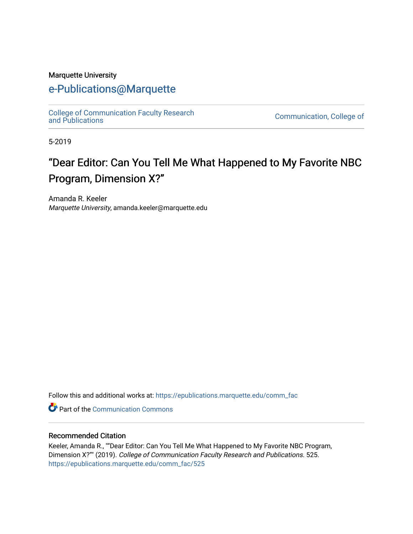#### Marquette University

## [e-Publications@Marquette](https://epublications.marquette.edu/)

[College of Communication Faculty Research](https://epublications.marquette.edu/comm_fac)

Communication, College of

5-2019

# "Dear Editor: Can You Tell Me What Happened to My Favorite NBC Program, Dimension X?"

Amanda R. Keeler Marquette University, amanda.keeler@marquette.edu

Follow this and additional works at: [https://epublications.marquette.edu/comm\\_fac](https://epublications.marquette.edu/comm_fac?utm_source=epublications.marquette.edu%2Fcomm_fac%2F525&utm_medium=PDF&utm_campaign=PDFCoverPages) 

**Part of the Communication Commons** 

#### Recommended Citation

Keeler, Amanda R., ""Dear Editor: Can You Tell Me What Happened to My Favorite NBC Program, Dimension X?"" (2019). College of Communication Faculty Research and Publications. 525. [https://epublications.marquette.edu/comm\\_fac/525](https://epublications.marquette.edu/comm_fac/525?utm_source=epublications.marquette.edu%2Fcomm_fac%2F525&utm_medium=PDF&utm_campaign=PDFCoverPages)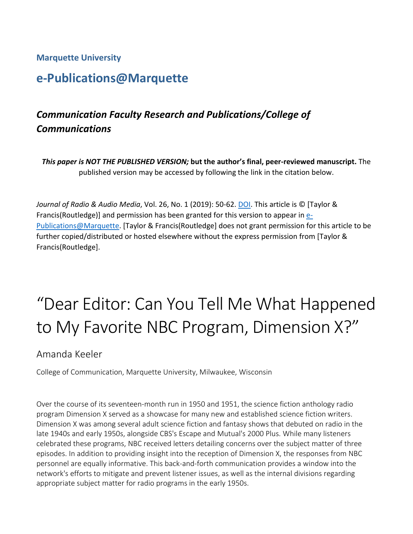#### **Marquette University**

# **e-Publications@Marquette**

# *Communication Faculty Research and Publications/College of Communications*

*This paper is NOT THE PUBLISHED VERSION;* **but the author's final, peer-reviewed manuscript.** The published version may be accessed by following the link in the citation below.

*Journal of Radio & Audio Media*, Vol. 26, No. 1 (2019): 50-62. [DOI.](file://vs-fs2/ACAD/LIB/The%20Commons/Projects/IR/IR%20training%20documents/dx.doi.org/10.1016/j.acalib.2009.06.017) This article is © [Taylor & Francis(Routledge)] and permission has been granted for this version to appear in [e-](http://epublications.marquette.edu/)[Publications@Marquette.](http://epublications.marquette.edu/) [Taylor & Francis(Routledge] does not grant permission for this article to be further copied/distributed or hosted elsewhere without the express permission from [Taylor & Francis(Routledge].

# "Dear Editor: Can You Tell Me What Happened to My Favorite NBC Program, Dimension X?"

## Amanda Keeler

College of Communication, Marquette University, Milwaukee, Wisconsin

Over the course of its seventeen-month run in 1950 and 1951, the science fiction anthology radio program Dimension X served as a showcase for many new and established science fiction writers. Dimension X was among several adult science fiction and fantasy shows that debuted on radio in the late 1940s and early 1950s, alongside CBS's Escape and Mutual's 2000 Plus. While many listeners celebrated these programs, NBC received letters detailing concerns over the subject matter of three episodes. In addition to providing insight into the reception of Dimension X, the responses from NBC personnel are equally informative. This back-and-forth communication provides a window into the network's efforts to mitigate and prevent listener issues, as well as the internal divisions regarding appropriate subject matter for radio programs in the early 1950s.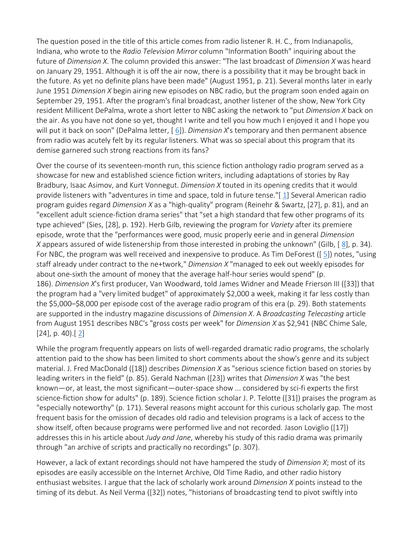The question posed in the title of this article comes from radio listener R. H. C., from Indianapolis, Indiana, who wrote to the *Radio Television Mirror* column "Information Booth" inquiring about the future of *Dimension X*. The column provided this answer: "The last broadcast of *Dimension X* was heard on January 29, 1951. Although it is off the air now, there is a possibility that it may be brought back in the future. As yet no definite plans have been made" (August 1951, p. 21). Several months later in early June 1951 *Dimension X* begin airing new episodes on NBC radio, but the program soon ended again on September 29, 1951. After the program's final broadcast, another listener of the show, New York City resident Millicent DePalma, wrote a short letter to NBC asking the network to "put *Dimension X* back on the air. As you have not done so yet, thought I write and tell you how much I enjoyed it and I hope you will put it back on soon" (DePalma letter, [[6\]](https://eds.b.ebscohost.com/eds/detail/detail?vid=1&sid=0b2b8f68-98e5-4e92-9a18-54fef1265ffe%40sessionmgr103&bdata=JnNpdGU9ZWRzLWxpdmU%3d#bib6)). *Dimension X*'s temporary and then permanent absence from radio was acutely felt by its regular listeners. What was so special about this program that its demise garnered such strong reactions from its fans?

Over the course of its seventeen-month run, this science fiction anthology radio program served as a showcase for new and established science fiction writers, including adaptations of stories by Ray Bradbury, Isaac Asimov, and Kurt Vonnegut. *Dimension X* touted in its opening credits that it would provide listeners with "adventures in time and space, told in future tense."[ [1\]](https://eds.b.ebscohost.com/eds/detail/detail?vid=1&sid=0b2b8f68-98e5-4e92-9a18-54fef1265ffe%40sessionmgr103&bdata=JnNpdGU9ZWRzLWxpdmU%3d#bib1) Several American radio program guides regard *Dimension X* as a "high-quality" program (Reinehr & Swartz, [27], p. 81), and an "excellent adult science-fiction drama series" that "set a high standard that few other programs of its type achieved" (Sies, [28], p. 192). Herb Gilb, reviewing the program for *Variety* after its premiere episode, wrote that the "performances were good, music properly eerie and in general *Dimension X* appears assured of wide listenership from those interested in probing the unknown" (Gilb, [[8\]](https://eds.b.ebscohost.com/eds/detail/detail?vid=1&sid=0b2b8f68-98e5-4e92-9a18-54fef1265ffe%40sessionmgr103&bdata=JnNpdGU9ZWRzLWxpdmU%3d#bib8), p. 34). For NBC, the program was well received and inexpensive to produce. As Tim DeForest ([ [5\]](https://eds.b.ebscohost.com/eds/detail/detail?vid=1&sid=0b2b8f68-98e5-4e92-9a18-54fef1265ffe%40sessionmgr103&bdata=JnNpdGU9ZWRzLWxpdmU%3d#bib5)) notes, "using staff already under contract to the ne+twork," *Dimension X* "managed to eek out weekly episodes for about one-sixth the amount of money that the average half-hour series would spend" (p. 186). *Dimension X*'s first producer, Van Woodward, told James Widner and Meade Frierson III ([33]) that the program had a "very limited budget" of approximately \$2,000 a week, making it far less costly than the \$5,000–\$8,000 per episode cost of the average radio program of this era (p. 29). Both statements are supported in the industry magazine discussions of *Dimension X*. A *Broadcasting Telecasting* article from August 1951 describes NBC's "gross costs per week" for *Dimension X* as \$2,941 (NBC Chime Sale, [24], p. 40).[[2\]](https://eds.b.ebscohost.com/eds/detail/detail?vid=1&sid=0b2b8f68-98e5-4e92-9a18-54fef1265ffe%40sessionmgr103&bdata=JnNpdGU9ZWRzLWxpdmU%3d#bib2)

While the program frequently appears on lists of well-regarded dramatic radio programs, the scholarly attention paid to the show has been limited to short comments about the show's genre and its subject material. J. Fred MacDonald ([18]) describes *Dimension X* as "serious science fiction based on stories by leading writers in the field" (p. 85). Gerald Nachman ([23]) writes that *Dimension X* was "the best known—or, at least, the most significant—outer-space show ... considered by sci-fi experts the first science-fiction show for adults" (p. 189). Science fiction scholar J. P. Telotte ([31]) praises the program as "especially noteworthy" (p. 171). Several reasons might account for this curious scholarly gap. The most frequent basis for the omission of decades old radio and television programs is a lack of access to the show itself, often because programs were performed live and not recorded. Jason Loviglio ([17]) addresses this in his article about *Judy and Jane*, whereby his study of this radio drama was primarily through "an archive of scripts and practically no recordings" (p. 307).

However, a lack of extant recordings should not have hampered the study of *Dimension X*; most of its episodes are easily accessible on the Internet Archive, Old Time Radio, and other radio history enthusiast websites. I argue that the lack of scholarly work around *Dimension X* points instead to the timing of its debut. As Neil Verma ([32]) notes, "historians of broadcasting tend to pivot swiftly into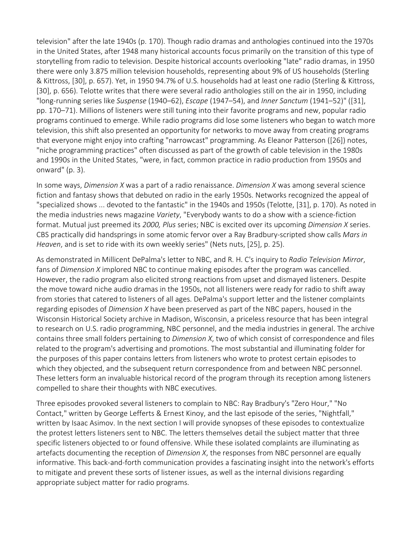television" after the late 1940s (p. 170). Though radio dramas and anthologies continued into the 1970s in the United States, after 1948 many historical accounts focus primarily on the transition of this type of storytelling from radio to television. Despite historical accounts overlooking "late" radio dramas, in 1950 there were only 3.875 million television households, representing about 9% of US households (Sterling & Kittross, [30], p. 657). Yet, in 1950 94.7% of U.S. households had at least one radio (Sterling & Kittross, [30], p. 656). Telotte writes that there were several radio anthologies still on the air in 1950, including "long-running series like *Suspense* (1940–62), *Escape* (1947–54), and *Inner Sanctum* (1941–52)" ([31], pp. 170–71). Millions of listeners were still tuning into their favorite programs and new, popular radio programs continued to emerge. While radio programs did lose some listeners who began to watch more television, this shift also presented an opportunity for networks to move away from creating programs that everyone might enjoy into crafting "narrowcast" programming. As Eleanor Patterson ([26]) notes, "niche programming practices" often discussed as part of the growth of cable television in the 1980s and 1990s in the United States, "were, in fact, common practice in radio production from 1950s and onward" (p. 3).

In some ways, *Dimension X* was a part of a radio renaissance. *Dimension X* was among several science fiction and fantasy shows that debuted on radio in the early 1950s. Networks recognized the appeal of "specialized shows ... devoted to the fantastic" in the 1940s and 1950s (Telotte, [31], p. 170). As noted in the media industries news magazine *Variety*, "Everybody wants to do a show with a science-fiction format. Mutual just preemed its *2000, Plus* series; NBC is excited over its upcoming *Dimension X* series. CBS practically did handsprings in some atomic fervor over a Ray Bradbury-scripted show calls *Mars in Heaven*, and is set to ride with its own weekly series" (Nets nuts, [25], p. 25).

As demonstrated in Millicent DePalma's letter to NBC, and R. H. C's inquiry to *Radio Television Mirror*, fans of *Dimension X* implored NBC to continue making episodes after the program was cancelled. However, the radio program also elicited strong reactions from upset and dismayed listeners. Despite the move toward niche audio dramas in the 1950s, not all listeners were ready for radio to shift away from stories that catered to listeners of all ages. DePalma's support letter and the listener complaints regarding episodes of *Dimension X* have been preserved as part of the NBC papers, housed in the Wisconsin Historical Society archive in Madison, Wisconsin, a priceless resource that has been integral to research on U.S. radio programming, NBC personnel, and the media industries in general. The archive contains three small folders pertaining to *Dimension X*, two of which consist of correspondence and files related to the program's advertising and promotions. The most substantial and illuminating folder for the purposes of this paper contains letters from listeners who wrote to protest certain episodes to which they objected, and the subsequent return correspondence from and between NBC personnel. These letters form an invaluable historical record of the program through its reception among listeners compelled to share their thoughts with NBC executives.

Three episodes provoked several listeners to complain to NBC: Ray Bradbury's "Zero Hour," "No Contact," written by George Lefferts & Ernest Kinoy, and the last episode of the series, "Nightfall," written by Isaac Asimov. In the next section I will provide synopses of these episodes to contextualize the protest letters listeners sent to NBC. The letters themselves detail the subject matter that three specific listeners objected to or found offensive. While these isolated complaints are illuminating as artefacts documenting the reception of *Dimension X*, the responses from NBC personnel are equally informative. This back-and-forth communication provides a fascinating insight into the network's efforts to mitigate and prevent these sorts of listener issues, as well as the internal divisions regarding appropriate subject matter for radio programs.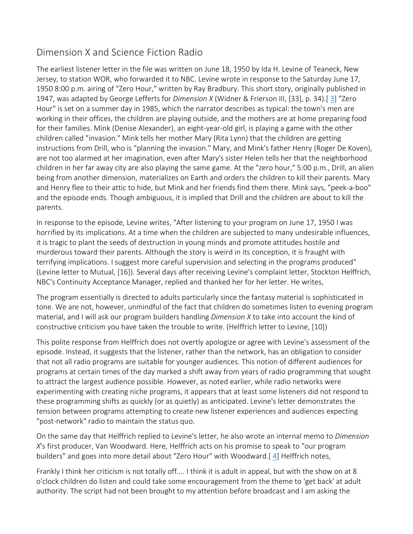# Dimension X and Science Fiction Radio

The earliest listener letter in the file was written on June 18, 1950 by Ida H. Levine of Teaneck, New Jersey, to station WOR, who forwarded it to NBC. Levine wrote in response to the Saturday June 17, 1950 8:00 p.m. airing of "Zero Hour," written by Ray Bradbury. This short story, originally published in 1947, was adapted by George Lefferts for *Dimension X* (Widner & Frierson III, [33], p. 34).[ [3\]](https://eds.b.ebscohost.com/eds/detail/detail?vid=1&sid=0b2b8f68-98e5-4e92-9a18-54fef1265ffe%40sessionmgr103&bdata=JnNpdGU9ZWRzLWxpdmU%3d#bib3) "Zero Hour" is set on a summer day in 1985, which the narrator describes as typical: the town's men are working in their offices, the children are playing outside, and the mothers are at home preparing food for their families. Mink (Denise Alexander), an eight-year-old girl, is playing a game with the other children called "invasion." Mink tells her mother Mary (Rita Lynn) that the children are getting instructions from Drill, who is "planning the invasion." Mary, and Mink's father Henry (Roger De Koven), are not too alarmed at her imagination, even after Mary's sister Helen tells her that the neighborhood children in her far away city are also playing the same game. At the "zero hour," 5:00 p.m., Drill, an alien being from another dimension, materializes on Earth and orders the children to kill their parents. Mary and Henry flee to their attic to hide, but Mink and her friends find them there. Mink says, "peek-a-boo" and the episode ends. Though ambiguous, it is implied that Drill and the children are about to kill the parents.

In response to the episode, Levine writes, "After listening to your program on June 17, 1950 I was horrified by its implications. At a time when the children are subjected to many undesirable influences, it is tragic to plant the seeds of destruction in young minds and promote attitudes hostile and murderous toward their parents. Although the story is weird in its conception, it is fraught with terrifying implications. I suggest more careful supervision and selecting in the programs produced" (Levine letter to Mutual, [16]). Several days after receiving Levine's complaint letter, Stockton Helffrich, NBC's Continuity Acceptance Manager, replied and thanked her for her letter. He writes,

The program essentially is directed to adults particularly since the fantasy material is sophisticated in tone. We are not, however, unmindful of the fact that children do sometimes listen to evening program material, and I will ask our program builders handling *Dimension X* to take into account the kind of constructive criticism you have taken the trouble to write. (Helffrich letter to Levine, [10])

This polite response from Helffrich does not overtly apologize or agree with Levine's assessment of the episode. Instead, it suggests that the listener, rather than the network, has an obligation to consider that not all radio programs are suitable for younger audiences. This notion of different audiences for programs at certain times of the day marked a shift away from years of radio programming that sought to attract the largest audience possible. However, as noted earlier, while radio networks were experimenting with creating niche programs, it appears that at least some listeners did not respond to these programming shifts as quickly (or as quietly) as anticipated. Levine's letter demonstrates the tension between programs attempting to create new listener experiences and audiences expecting "post-network" radio to maintain the status quo.

On the same day that Helffrich replied to Levine's letter, he also wrote an internal memo to *Dimension X*'s first producer, Van Woodward. Here, Helffrich acts on his promise to speak to "our program builders" and goes into more detail about "Zero Hour" with Woodward.[ [4\]](https://eds.b.ebscohost.com/eds/detail/detail?vid=1&sid=0b2b8f68-98e5-4e92-9a18-54fef1265ffe%40sessionmgr103&bdata=JnNpdGU9ZWRzLWxpdmU%3d#bib4) Helffrich notes,

Frankly I think her criticism is not totally off.... I think it is adult in appeal, but with the show on at 8 o'clock children do listen and could take some encouragement from the theme to 'get back' at adult authority. The script had not been brought to my attention before broadcast and I am asking the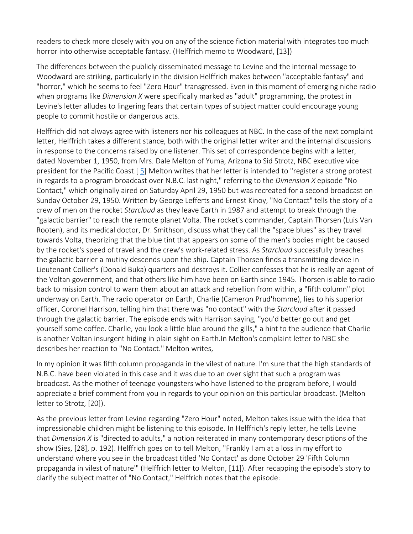readers to check more closely with you on any of the science fiction material with integrates too much horror into otherwise acceptable fantasy. (Helffrich memo to Woodward, [13])

The differences between the publicly disseminated message to Levine and the internal message to Woodward are striking, particularly in the division Helffrich makes between "acceptable fantasy" and "horror," which he seems to feel "Zero Hour" transgressed. Even in this moment of emerging niche radio when programs like *Dimension X* were specifically marked as "adult" programming, the protest in Levine's letter alludes to lingering fears that certain types of subject matter could encourage young people to commit hostile or dangerous acts.

Helffrich did not always agree with listeners nor his colleagues at NBC. In the case of the next complaint letter, Helffrich takes a different stance, both with the original letter writer and the internal discussions in response to the concerns raised by one listener. This set of correspondence begins with a letter, dated November 1, 1950, from Mrs. Dale Melton of Yuma, Arizona to Sid Strotz, NBC executive vice president for the Pacific Coast.[ [5\]](https://eds.b.ebscohost.com/eds/detail/detail?vid=1&sid=0b2b8f68-98e5-4e92-9a18-54fef1265ffe%40sessionmgr103&bdata=JnNpdGU9ZWRzLWxpdmU%3d#bib5) Melton writes that her letter is intended to "register a strong protest in regards to a program broadcast over N.B.C. last night," referring to the *Dimension X* episode "No Contact," which originally aired on Saturday April 29, 1950 but was recreated for a second broadcast on Sunday October 29, 1950. Written by George Lefferts and Ernest Kinoy, "No Contact" tells the story of a crew of men on the rocket *Starcloud* as they leave Earth in 1987 and attempt to break through the "galactic barrier" to reach the remote planet Volta. The rocket's commander, Captain Thorsen (Luis Van Rooten), and its medical doctor, Dr. Smithson, discuss what they call the "space blues" as they travel towards Volta, theorizing that the blue tint that appears on some of the men's bodies might be caused by the rocket's speed of travel and the crew's work-related stress. As *Starcloud* successfully breaches the galactic barrier a mutiny descends upon the ship. Captain Thorsen finds a transmitting device in Lieutenant Collier's (Donald Buka) quarters and destroys it. Collier confesses that he is really an agent of the Voltan government, and that others like him have been on Earth since 1945. Thorsen is able to radio back to mission control to warn them about an attack and rebellion from within, a "fifth column" plot underway on Earth. The radio operator on Earth, Charlie (Cameron Prud'homme), lies to his superior officer, Coronel Harrison, telling him that there was "no contact" with the *Starcloud* after it passed through the galactic barrier. The episode ends with Harrison saying, "you'd better go out and get yourself some coffee. Charlie, you look a little blue around the gills," a hint to the audience that Charlie is another Voltan insurgent hiding in plain sight on Earth.In Melton's complaint letter to NBC she describes her reaction to "No Contact." Melton writes,

In my opinion it was fifth column propaganda in the vilest of nature. I'm sure that the high standards of N.B.C. have been violated in this case and it was due to an over sight that such a program was broadcast. As the mother of teenage youngsters who have listened to the program before, I would appreciate a brief comment from you in regards to your opinion on this particular broadcast. (Melton letter to Strotz, [20]).

As the previous letter from Levine regarding "Zero Hour" noted, Melton takes issue with the idea that impressionable children might be listening to this episode. In Helffrich's reply letter, he tells Levine that *Dimension X* is "directed to adults," a notion reiterated in many contemporary descriptions of the show (Sies, [28], p. 192). Helffrich goes on to tell Melton, "Frankly I am at a loss in my effort to understand where you see in the broadcast titled 'No Contact' as done October 29 'Fifth Column propaganda in vilest of nature'" (Helffrich letter to Melton, [11]). After recapping the episode's story to clarify the subject matter of "No Contact," Helffrich notes that the episode: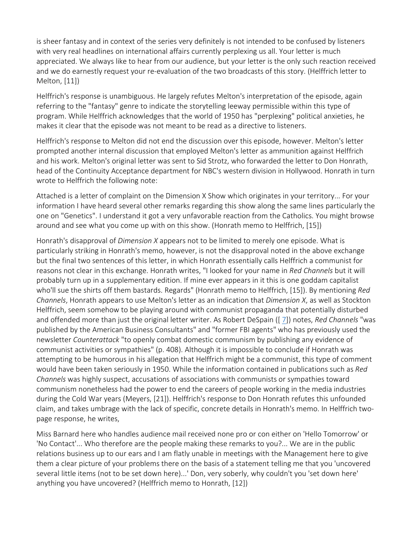is sheer fantasy and in context of the series very definitely is not intended to be confused by listeners with very real headlines on international affairs currently perplexing us all. Your letter is much appreciated. We always like to hear from our audience, but your letter is the only such reaction received and we do earnestly request your re-evaluation of the two broadcasts of this story. (Helffrich letter to Melton, [11])

Helffrich's response is unambiguous. He largely refutes Melton's interpretation of the episode, again referring to the "fantasy" genre to indicate the storytelling leeway permissible within this type of program. While Helffrich acknowledges that the world of 1950 has "perplexing" political anxieties, he makes it clear that the episode was not meant to be read as a directive to listeners.

Helffrich's response to Melton did not end the discussion over this episode, however. Melton's letter prompted another internal discussion that employed Melton's letter as ammunition against Helffrich and his work. Melton's original letter was sent to Sid Strotz, who forwarded the letter to Don Honrath, head of the Continuity Acceptance department for NBC's western division in Hollywood. Honrath in turn wrote to Helffrich the following note:

Attached is a letter of complaint on the Dimension X Show which originates in your territory... For your information I have heard several other remarks regarding this show along the same lines particularly the one on "Genetics". I understand it got a very unfavorable reaction from the Catholics. You might browse around and see what you come up with on this show. (Honrath memo to Helffrich, [15])

Honrath's disapproval of *Dimension X* appears not to be limited to merely one episode. What is particularly striking in Honrath's memo, however, is not the disapproval noted in the above exchange but the final two sentences of this letter, in which Honrath essentially calls Helffrich a communist for reasons not clear in this exchange. Honrath writes, "I looked for your name in *Red Channels* but it will probably turn up in a supplementary edition. If mine ever appears in it this is one goddam capitalist who'll sue the shirts off them bastards. Regards" (Honrath memo to Helffrich, [15]). By mentioning *Red Channels*, Honrath appears to use Melton's letter as an indication that *Dimension X*, as well as Stockton Helffrich, seem somehow to be playing around with communist propaganda that potentially disturbed and offended more than just the original letter writer. As Robert DeSpain ([ [7\]](https://eds.b.ebscohost.com/eds/detail/detail?vid=1&sid=0b2b8f68-98e5-4e92-9a18-54fef1265ffe%40sessionmgr103&bdata=JnNpdGU9ZWRzLWxpdmU%3d#bib7)) notes, *Red Channels* "was published by the American Business Consultants" and "former FBI agents" who has previously used the newsletter *Counterattack* "to openly combat domestic communism by publishing any evidence of communist activities or sympathies" (p. 408). Although it is impossible to conclude if Honrath was attempting to be humorous in his allegation that Helffrich might be a communist, this type of comment would have been taken seriously in 1950. While the information contained in publications such as *Red Channels* was highly suspect, accusations of associations with communists or sympathies toward communism nonetheless had the power to end the careers of people working in the media industries during the Cold War years (Meyers, [21]). Helffrich's response to Don Honrath refutes this unfounded claim, and takes umbrage with the lack of specific, concrete details in Honrath's memo. In Helffrich twopage response, he writes,

Miss Barnard here who handles audience mail received none pro or con either on 'Hello Tomorrow' or 'No Contact'... Who therefore are the people making these remarks to you?... We are in the public relations business up to our ears and I am flatly unable in meetings with the Management here to give them a clear picture of your problems there on the basis of a statement telling me that you 'uncovered several little items (not to be set down here)...' Don, very soberly, why couldn't you 'set down here' anything you have uncovered? (Helffrich memo to Honrath, [12])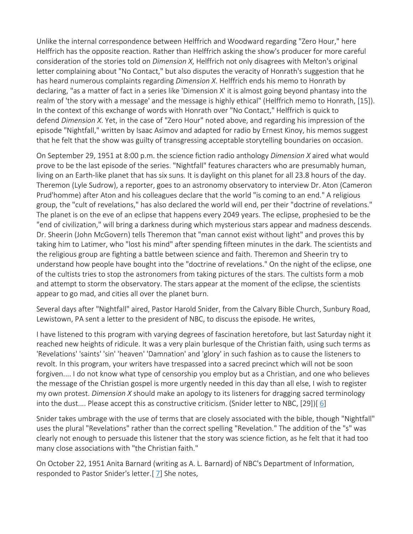Unlike the internal correspondence between Helffrich and Woodward regarding "Zero Hour," here Helffrich has the opposite reaction. Rather than Helffrich asking the show's producer for more careful consideration of the stories told on *Dimension X*, Helffrich not only disagrees with Melton's original letter complaining about "No Contact," but also disputes the veracity of Honrath's suggestion that he has heard numerous complaints regarding *Dimension X*. Helffrich ends his memo to Honrath by declaring, "as a matter of fact in a series like 'Dimension X' it is almost going beyond phantasy into the realm of 'the story with a message' and the message is highly ethical" (Helffrich memo to Honrath, [15]). In the context of this exchange of words with Honrath over "No Contact," Helffrich is quick to defend *Dimension X*. Yet, in the case of "Zero Hour" noted above, and regarding his impression of the episode "Nightfall," written by Isaac Asimov and adapted for radio by Ernest Kinoy, his memos suggest that he felt that the show was guilty of transgressing acceptable storytelling boundaries on occasion.

On September 29, 1951 at 8:00 p.m. the science fiction radio anthology *Dimension X* aired what would prove to be the last episode of the series. "Nightfall" features characters who are presumably human, living on an Earth-like planet that has six suns. It is daylight on this planet for all 23.8 hours of the day. Theremon (Lyle Sudrow), a reporter, goes to an astronomy observatory to interview Dr. Aton (Cameron Prud'homme) after Aton and his colleagues declare that the world "is coming to an end." A religious group, the "cult of revelations," has also declared the world will end, per their "doctrine of revelations." The planet is on the eve of an eclipse that happens every 2049 years. The eclipse, prophesied to be the "end of civilization," will bring a darkness during which mysterious stars appear and madness descends. Dr. Sheerin (John McGovern) tells Theremon that "man cannot exist without light" and proves this by taking him to Latimer, who "lost his mind" after spending fifteen minutes in the dark. The scientists and the religious group are fighting a battle between science and faith. Theremon and Sheerin try to understand how people have bought into the "doctrine of revelations." On the night of the eclipse, one of the cultists tries to stop the astronomers from taking pictures of the stars. The cultists form a mob and attempt to storm the observatory. The stars appear at the moment of the eclipse, the scientists appear to go mad, and cities all over the planet burn.

Several days after "Nightfall" aired, Pastor Harold Snider, from the Calvary Bible Church, Sunbury Road, Lewistown, PA sent a letter to the president of NBC, to discuss the episode. He writes,

I have listened to this program with varying degrees of fascination heretofore, but last Saturday night it reached new heights of ridicule. It was a very plain burlesque of the Christian faith, using such terms as 'Revelations' 'saints' 'sin' 'heaven' 'Damnation' and 'glory' in such fashion as to cause the listeners to revolt. In this program, your writers have trespassed into a sacred precinct which will not be soon forgiven.... I do not know what type of censorship you employ but as a Christian, and one who believes the message of the Christian gospel is more urgently needed in this day than all else, I wish to register my own protest. *Dimension X* should make an apology to its listeners for dragging sacred terminology into the dust.... Please accept this as constructive criticism. (Snider letter to NBC, [29])[ [6\]](https://eds.b.ebscohost.com/eds/detail/detail?vid=1&sid=0b2b8f68-98e5-4e92-9a18-54fef1265ffe%40sessionmgr103&bdata=JnNpdGU9ZWRzLWxpdmU%3d#bib6)

Snider takes umbrage with the use of terms that are closely associated with the bible, though "Nightfall" uses the plural "Revelations" rather than the correct spelling "Revelation." The addition of the "s" was clearly not enough to persuade this listener that the story was science fiction, as he felt that it had too many close associations with "the Christian faith."

On October 22, 1951 Anita Barnard (writing as A. L. Barnard) of NBC's Department of Information, responded to Pastor Snider's letter.[ [7\]](https://eds.b.ebscohost.com/eds/detail/detail?vid=1&sid=0b2b8f68-98e5-4e92-9a18-54fef1265ffe%40sessionmgr103&bdata=JnNpdGU9ZWRzLWxpdmU%3d#bib7) She notes,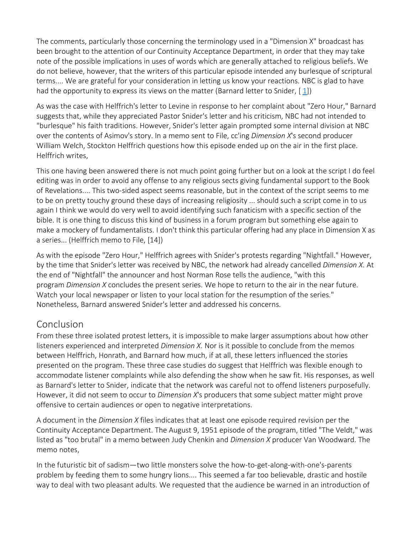The comments, particularly those concerning the terminology used in a "Dimension X" broadcast has been brought to the attention of our Continuity Acceptance Department, in order that they may take note of the possible implications in uses of words which are generally attached to religious beliefs. We do not believe, however, that the writers of this particular episode intended any burlesque of scriptural terms.... We are grateful for your consideration in letting us know your reactions. NBC is glad to have had the opportunity to express its views on the matter (Barnard letter to Snider, [[1\]](https://eds.b.ebscohost.com/eds/detail/detail?vid=1&sid=0b2b8f68-98e5-4e92-9a18-54fef1265ffe%40sessionmgr103&bdata=JnNpdGU9ZWRzLWxpdmU%3d#bib1))

As was the case with Helffrich's letter to Levine in response to her complaint about "Zero Hour," Barnard suggests that, while they appreciated Pastor Snider's letter and his criticism, NBC had not intended to "burlesque" his faith traditions. However, Snider's letter again prompted some internal division at NBC over the contents of Asimov's story. In a memo sent to File, cc'ing *Dimension X*'s second producer William Welch, Stockton Helffrich questions how this episode ended up on the air in the first place. Helffrich writes,

This one having been answered there is not much point going further but on a look at the script I do feel editing was in order to avoid any offense to any religious sects giving fundamental support to the Book of Revelations.... This two-sided aspect seems reasonable, but in the context of the script seems to me to be on pretty touchy ground these days of increasing religiosity ... should such a script come in to us again I think we would do very well to avoid identifying such fanaticism with a specific section of the bible. It is one thing to discuss this kind of business in a forum program but something else again to make a mockery of fundamentalists. I don't think this particular offering had any place in Dimension X as a series... (Helffrich memo to File, [14])

As with the episode "Zero Hour," Helffrich agrees with Snider's protests regarding "Nightfall." However, by the time that Snider's letter was received by NBC, the network had already cancelled *Dimension X*. At the end of "Nightfall" the announcer and host Norman Rose tells the audience, "with this program *Dimension X* concludes the present series. We hope to return to the air in the near future. Watch your local newspaper or listen to your local station for the resumption of the series." Nonetheless, Barnard answered Snider's letter and addressed his concerns.

## [Conclusion](https://eds.b.ebscohost.com/eds/detail/detail?vid=1&sid=3bf11abf-bfb6-4635-b712-53ca434b28ff%40pdc-v-sessmgr02&bdata=JnNpdGU9ZWRzLWxpdmU%3d#toc)

From these three isolated protest letters, it is impossible to make larger assumptions about how other listeners experienced and interpreted *Dimension X*. Nor is it possible to conclude from the memos between Helffrich, Honrath, and Barnard how much, if at all, these letters influenced the stories presented on the program. These three case studies do suggest that Helffrich was flexible enough to accommodate listener complaints while also defending the show when he saw fit. His responses, as well as Barnard's letter to Snider, indicate that the network was careful not to offend listeners purposefully. However, it did not seem to occur to *Dimension X*'s producers that some subject matter might prove offensive to certain audiences or open to negative interpretations.

A document in the *Dimension X* files indicates that at least one episode required revision per the Continuity Acceptance Department. The August 9, 1951 episode of the program, titled "The Veldt," was listed as "too brutal" in a memo between Judy Chenkin and *Dimension X* producer Van Woodward. The memo notes,

In the futuristic bit of sadism—two little monsters solve the how-to-get-along-with-one's-parents problem by feeding them to some hungry lions.... This seemed a far too believable, drastic and hostile way to deal with two pleasant adults. We requested that the audience be warned in an introduction of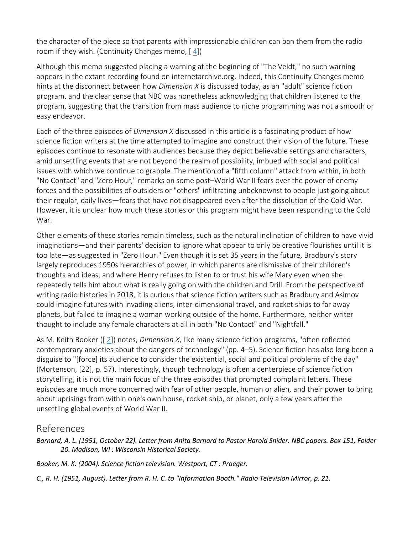the character of the piece so that parents with impressionable children can ban them from the radio room if they wish. (Continuity Changes memo,  $[4]$  $[4]$ )

Although this memo suggested placing a warning at the beginning of "The Veldt," no such warning appears in the extant recording found on internetarchive.org. Indeed, this Continuity Changes memo hints at the disconnect between how *Dimension X* is discussed today, as an "adult" science fiction program, and the clear sense that NBC was nonetheless acknowledging that children listened to the program, suggesting that the transition from mass audience to niche programming was not a smooth or easy endeavor.

Each of the three episodes of *Dimension X* discussed in this article is a fascinating product of how science fiction writers at the time attempted to imagine and construct their vision of the future. These episodes continue to resonate with audiences because they depict believable settings and characters, amid unsettling events that are not beyond the realm of possibility, imbued with social and political issues with which we continue to grapple. The mention of a "fifth column" attack from within, in both "No Contact" and "Zero Hour," remarks on some post–World War II fears over the power of enemy forces and the possibilities of outsiders or "others" infiltrating unbeknownst to people just going about their regular, daily lives—fears that have not disappeared even after the dissolution of the Cold War. However, it is unclear how much these stories or this program might have been responding to the Cold War.

Other elements of these stories remain timeless, such as the natural inclination of children to have vivid imaginations—and their parents' decision to ignore what appear to only be creative flourishes until it is too late—as suggested in "Zero Hour." Even though it is set 35 years in the future, Bradbury's story largely reproduces 1950s hierarchies of power, in which parents are dismissive of their children's thoughts and ideas, and where Henry refuses to listen to or trust his wife Mary even when she repeatedly tells him about what is really going on with the children and Drill. From the perspective of writing radio histories in 2018, it is curious that science fiction writers such as Bradbury and Asimov could imagine futures with invading aliens, inter-dimensional travel, and rocket ships to far away planets, but failed to imagine a woman working outside of the home. Furthermore, neither writer thought to include any female characters at all in both "No Contact" and "Nightfall."

As M. Keith Booker ([ [2\]](https://eds.b.ebscohost.com/eds/detail/detail?vid=1&sid=3bf11abf-bfb6-4635-b712-53ca434b28ff%40pdc-v-sessmgr02&bdata=JnNpdGU9ZWRzLWxpdmU%3d#bib2)) notes, *Dimension X*, like many science fiction programs, "often reflected contemporary anxieties about the dangers of technology" (pp. 4–5). Science fiction has also long been a disguise to "[force] its audience to consider the existential, social and political problems of the day" (Mortenson, [22], p. 57). Interestingly, though technology is often a centerpiece of science fiction storytelling, it is not the main focus of the three episodes that prompted complaint letters. These episodes are much more concerned with fear of other people, human or alien, and their power to bring about uprisings from within one's own house, rocket ship, or planet, only a few years after the unsettling global events of World War II.

### [References](https://eds.b.ebscohost.com/eds/detail/detail?vid=1&sid=3bf11abf-bfb6-4635-b712-53ca434b28ff%40pdc-v-sessmgr02&bdata=JnNpdGU9ZWRzLWxpdmU%3d#toc)

*Barnard, A. L. (1951, October 22). Letter from Anita Barnard to Pastor Harold Snider. NBC papers. Box 151, Folder 20. Madison, WI : Wisconsin Historical Society.*

*Booker, M. K. (2004). Science fiction television. Westport, CT : Praeger.*

*C., R. H. (1951, August). Letter from R. H. C. to "Information Booth." Radio Television Mirror, p. 21.*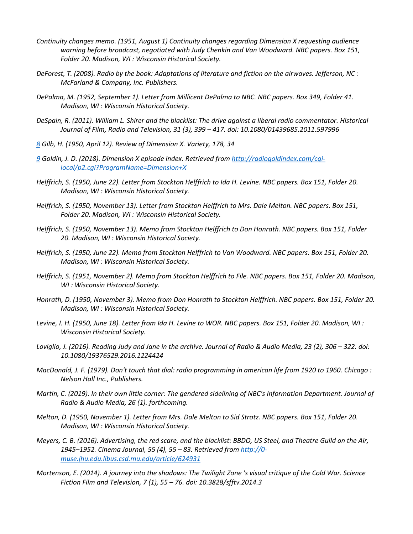- *Continuity changes memo. (1951, August 1) Continuity changes regarding Dimension X requesting audience warning before broadcast, negotiated with Judy Chenkin and Van Woodward. NBC papers. Box 151, Folder 20. Madison, WI : Wisconsin Historical Society.*
- *DeForest, T. (2008). Radio by the book: Adaptations of literature and fiction on the airwaves. Jefferson, NC : McFarland & Company, Inc. Publishers.*
- *DePalma, M. (1952, September 1). Letter from Millicent DePalma to NBC. NBC papers. Box 349, Folder 41. Madison, WI : Wisconsin Historical Society.*
- *DeSpain, R. (2011). William L. Shirer and the blacklist: The drive against a liberal radio commentator. Historical Journal of Film, Radio and Television, 31 (3), 399 – 417. doi: 10.1080/01439685.2011.597996*
- *[8](https://eds.b.ebscohost.com/eds/detail/detail?vid=1&sid=3bf11abf-bfb6-4635-b712-53ca434b28ff%40pdc-v-sessmgr02&bdata=JnNpdGU9ZWRzLWxpdmU%3d#bib8up) Gilb, H. (1950, April 12). Review of Dimension X. Variety, 178, 34*
- *[9](https://eds.b.ebscohost.com/eds/detail/detail?vid=1&sid=3bf11abf-bfb6-4635-b712-53ca434b28ff%40pdc-v-sessmgr02&bdata=JnNpdGU9ZWRzLWxpdmU%3d#bib9up) Goldin, J. D. (2018). Dimension X episode index. Retrieved from [http://radiogoldindex.com/cgi](http://radiogoldindex.com/cgi-local/p2.cgi?ProgramName=Dimension+X)[local/p2.cgi?ProgramName=Dimension+X](http://radiogoldindex.com/cgi-local/p2.cgi?ProgramName=Dimension+X)*
- *Helffrich, S. (1950, June 22). Letter from Stockton Helffrich to Ida H. Levine. NBC papers. Box 151, Folder 20. Madison, WI : Wisconsin Historical Society.*
- *Helffrich, S. (1950, November 13). Letter from Stockton Helffrich to Mrs. Dale Melton. NBC papers. Box 151, Folder 20. Madison, WI : Wisconsin Historical Society.*
- *Helffrich, S. (1950, November 13). Memo from Stockton Helffrich to Don Honrath. NBC papers. Box 151, Folder 20. Madison, WI : Wisconsin Historical Society.*
- *Helffrich, S. (1950, June 22). Memo from Stockton Helffrich to Van Woodward. NBC papers. Box 151, Folder 20. Madison, WI : Wisconsin Historical Society.*
- *Helffrich, S. (1951, November 2). Memo from Stockton Helffrich to File. NBC papers. Box 151, Folder 20. Madison, WI : Wisconsin Historical Society.*
- *Honrath, D. (1950, November 3). Memo from Don Honrath to Stockton Helffrich. NBC papers. Box 151, Folder 20. Madison, WI : Wisconsin Historical Society.*
- *Levine, I. H. (1950, June 18). Letter from Ida H. Levine to WOR. NBC papers. Box 151, Folder 20. Madison, WI : Wisconsin Historical Society.*
- *Loviglio, J. (2016). Reading Judy and Jane in the archive. Journal of Radio & Audio Media, 23 (2), 306 – 322. doi: 10.1080/19376529.2016.1224424*
- *MacDonald, J. F. (1979). Don't touch that dial: radio programming in american life from 1920 to 1960. Chicago : Nelson Hall Inc., Publishers.*
- *Martin, C. (2019). In their own little corner: The gendered sidelining of NBC's Information Department. Journal of Radio & Audio Media, 26 (1). forthcoming.*
- *Melton, D. (1950, November 1). Letter from Mrs. Dale Melton to Sid Strotz. NBC papers. Box 151, Folder 20. Madison, WI : Wisconsin Historical Society.*
- *Meyers, C. B. (2016). Advertising, the red scare, and the blacklist: BBDO, US Steel, and Theatre Guild on the Air, 1945–1952. Cinema Journal, 55 (4), 55 – 83. Retrieved from [http://0](http://0-muse.jhu.edu.libus.csd.mu.edu/article/624931) [muse.jhu.edu.libus.csd.mu.edu/article/624931](http://0-muse.jhu.edu.libus.csd.mu.edu/article/624931)*
- *Mortenson, E. (2014). A journey into the shadows: The Twilight Zone 's visual critique of the Cold War. Science Fiction Film and Television, 7 (1), 55 – 76. doi: 10.3828/sfftv.2014.3*